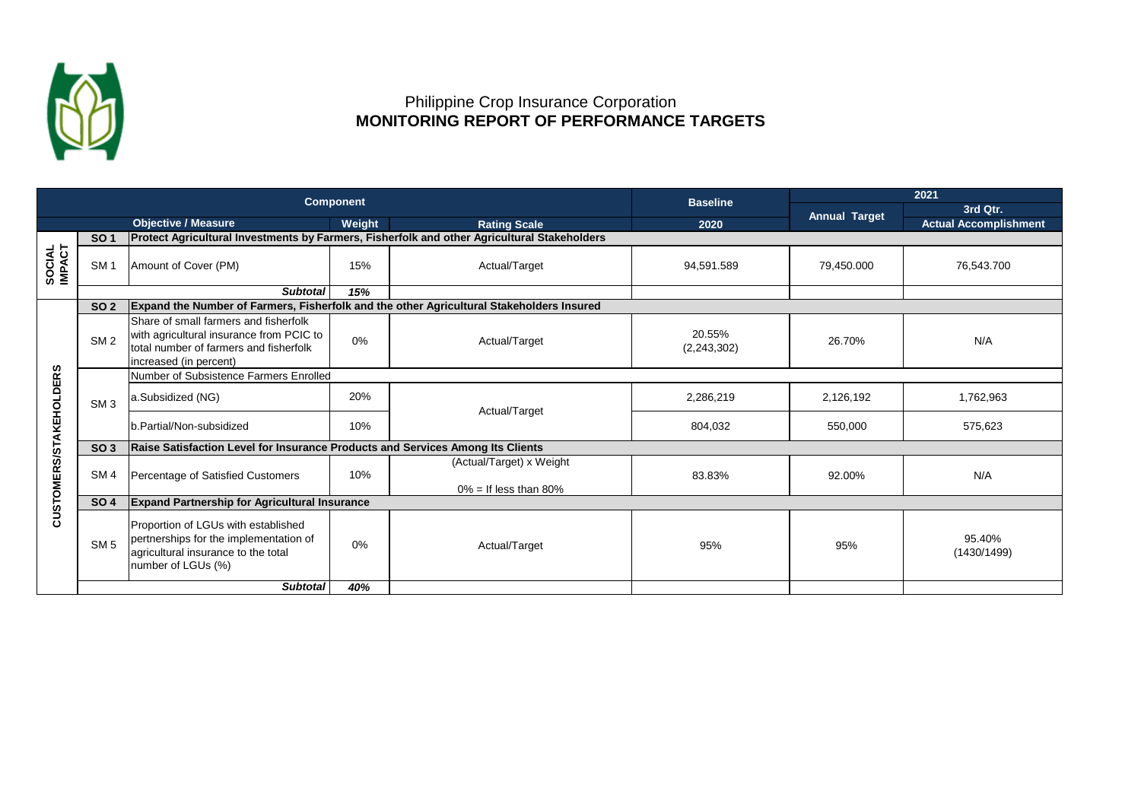

## Philippine Crop Insurance Corporation  **MONITORING REPORT OF PERFORMANCE TARGETS**

| <b>Component</b>       |                 |                                                                                                                                                       |        |                                                                                             | <b>Baseline</b>         | 2021                 |                              |  |  |
|------------------------|-----------------|-------------------------------------------------------------------------------------------------------------------------------------------------------|--------|---------------------------------------------------------------------------------------------|-------------------------|----------------------|------------------------------|--|--|
|                        |                 |                                                                                                                                                       |        |                                                                                             |                         | <b>Annual Target</b> | 3rd Qtr.                     |  |  |
|                        |                 | <b>Objective / Measure</b>                                                                                                                            | Weight | <b>Rating Scale</b>                                                                         | 2020                    |                      | <b>Actual Accomplishment</b> |  |  |
|                        | <b>SO 1</b>     |                                                                                                                                                       |        | Protect Agricultural Investments by Farmers, Fisherfolk and other Agricultural Stakeholders |                         |                      |                              |  |  |
| SOCIAL<br>IMPACT       | SM <sub>1</sub> | Amount of Cover (PM)                                                                                                                                  | 15%    | Actual/Target                                                                               | 94,591.589              | 79,450.000           | 76,543.700                   |  |  |
|                        |                 | <b>Subtotal</b>                                                                                                                                       | 15%    |                                                                                             |                         |                      |                              |  |  |
| CUSTOMERS/STAKEHOLDERS | <b>SO 2</b>     | Expand the Number of Farmers, Fisherfolk and the other Agricultural Stakeholders Insured                                                              |        |                                                                                             |                         |                      |                              |  |  |
|                        | SM <sub>2</sub> | Share of small farmers and fisherfolk<br>with agricultural insurance from PCIC to<br>total number of farmers and fisherfolk<br>increased (in percent) | 0%     | Actual/Target                                                                               | 20.55%<br>(2, 243, 302) | 26.70%               | N/A                          |  |  |
|                        |                 | Number of Subsistence Farmers Enrolled                                                                                                                |        |                                                                                             |                         |                      |                              |  |  |
|                        | SM <sub>3</sub> | a.Subsidized (NG)                                                                                                                                     | 20%    | Actual/Target                                                                               | 2,286,219               | 2,126,192            | 1,762,963                    |  |  |
|                        |                 | b.Partial/Non-subsidized                                                                                                                              | 10%    |                                                                                             | 804,032                 | 550,000              | 575,623                      |  |  |
|                        | <b>SO 3</b>     | Raise Satisfaction Level for Insurance Products and Services Among Its Clients                                                                        |        |                                                                                             |                         |                      |                              |  |  |
|                        | SM <sub>4</sub> | Percentage of Satisfied Customers                                                                                                                     | 10%    | (Actual/Target) x Weight                                                                    | 83.83%                  | 92.00%               | N/A                          |  |  |
|                        | <b>SO 4</b>     | $0\% =$ If less than 80%<br><b>Expand Partnership for Agricultural Insurance</b>                                                                      |        |                                                                                             |                         |                      |                              |  |  |
|                        |                 |                                                                                                                                                       |        |                                                                                             |                         |                      |                              |  |  |
|                        | SM <sub>5</sub> | Proportion of LGUs with established<br>pertnerships for the implementation of<br>agricultural insurance to the total<br>number of LGUs (%)            | 0%     | Actual/Target                                                                               | 95%                     | 95%                  | 95.40%<br>(1430/1499)        |  |  |
|                        |                 | <b>Subtotal</b>                                                                                                                                       | 40%    |                                                                                             |                         |                      |                              |  |  |